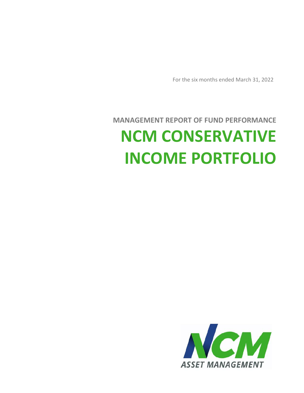

# **MANAGEMENT REPORT OF FUND PERFORMANCE NCM CONSERVATIVE INCOME PORTFOLIO**

For the six months ended March 31, 2022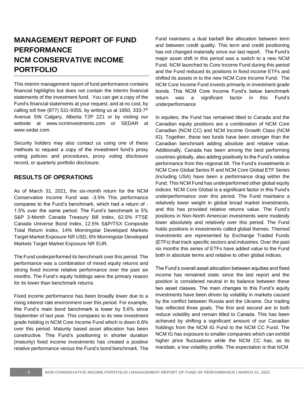## **MANAGEMENT REPORT OF FUND PERFORMANCE NCM CONSERVATIVE INCOME PORTFOLIO**

This interim management report of fund performance contains financial highlights but does not contain the interim financial statements of the investment fund. You can get a copy of the Fund's financial statements at your request, and at no cost, by calling toll free (877) 531-9355, by writing us at 1850, 333-7<sup>th</sup> Avenue SW Calgary, Alberta T2P 2Z1 or by visiting our website at www.ncminvestments.com or SEDAR at www.sedar.com.

Security holders may also contact us using one of these methods to request a copy of the investment fund's proxy voting policies and procedures, proxy voting disclosure record, or quarterly portfolio disclosure.

### **RESULTS OF OPERATIONS**

As of March 31, 2021, the six-month return for the NCM Conservative Income Fund was -3.5% This performance compares to the Fund's benchmark, which had a return of - 1.5% over the same period. The Fund's benchmark is 5% S&P 3-Month Canada Treasury Bill Index, 62.5% FTSE Canada Universe Bond Index, 12.5% S&P/TSX Composite Total Return Index, 14% Morningstar Developed Markets Target Market Exposure NR USD, 6% Morningstar Developed Markets Target Market Exposure NR EUR.

The Fund underperformed its benchmark over this period. The performance was a combination of mixed equity returns and strong fixed income relative performance over the past six months. The Fund's equity holdings were the primary reason for its lower than benchmark returns.

Fixed income performance has been broadly lower due to a rising interest rate environment over this period. For example, this Fund's main bond benchmark is lower by 5.6% since September of last year. This compares to its new investment grade holding in NCM Core Income Fund which is down 6.6% over this period. Maturity based asset allocation has been constructive. This Fund's positioning in shorter duration (maturity) fixed income investments has created a positive relative performance versus the Fund's bond benchmark. The Fund maintains a dual barbell like allocation between term and between credit quality. This term and credit positioning has not changed materially since our last report. The Fund's major asset shift in this period was a switch to a new NCM Fund. NCM launched its Core Income Fund during this period and the Fund reduced its positions in fixed income ETFs and shifted its assets in to the new NCM Core Income Fund. The NCM Core Income Fund invests primarily in investment grade bonds. This NCM Core Income Fund's below benchmark return was a significant factor in this Fund's underperformance

In equities, the Fund has remained titled to Canada and the Canadian equity positions are a combination of NCM Core Canadian (NCM CC) and NCM Income Growth Class (NCM IG). Together, these two funds have been stronger than the Canadian benchmark adding absolute and relative value. Additionally, Canada has been among the best performing countries globally, also adding positively to the Fund's relative performance from this regional tilt. The Fund's investments in NCM Core Global Series R and NCM Core Global ETF Series (including USA) have been a performance drag within the Fund. This NCM Fund has underperformed other global equity indices. NCM Core Global is a significant factor in this Fund's underperformance over this period. The Fund maintains a relatively lower weight in global broad market investments, and this has provided relative returns value. The Fund's positions in Non-North American investments were modestly lower absolutely and relatively over this period. The Fund holds positions in investments called global themes. Themed investments are represented by Exchange Traded Funds (ETFs) that track specific sectors and industries. Over the past six months this series of ETFs have added value to the Fund both in absolute terms and relative to other global indices.

The Fund's overall asset allocation between equities and fixed income has remained static since the last report and the position is considered neutral in its balance between these two asset classes. The main changes to this Fund's equity investments have been driven by volatility in markets caused by the conflict between Russia and the Ukraine. Our trading has reflected three goals. The first and second are to both reduce volatility and remain titled to Canada. This has been achieved by shifting a significant amount of our Canadian holdings from the NCM IG Fund to the NCM CC Fund. The NCM IG has exposure to smaller companies which can exhibit higher price fluctuations while the NCM CC has, as its mandate, a low volatility profile. The expectation is that NCM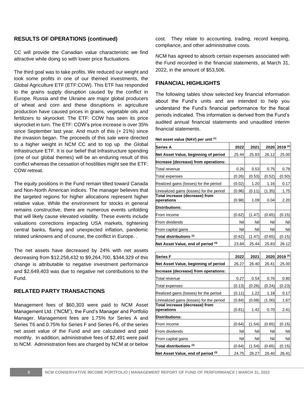#### **RESULTS OF OPERATIONS (continued)**

CC will provide the Canadian value characteristic we find attractive while doing so with lower price fluctuations.

The third goal was to take profits. We reduced our weight and took some profits in one of our themed investments, the Global Agriculture ETF (ETF:COW). This ETF has responded to the grains supply disruption caused by the conflict in Europe. Russia and the Ukraine are major global producers of wheat and corn and these disruptions in agriculture production have caused prices in grains, vegetable oils and fertilizers to skyrocket. The ETF: COW has seen its price skyrocket in turn. The ETF: COW's price increase is over 35% since September last year. And much of this (+ 21%) since the invasion began. The proceeds of this sale were directed to a higher weight in NCM CC and to top up the Global Infrastructure ETF. It is our belief that Infrastructure spending (one of our global themes) will be an enduring result of this conflict whereas the cessation of hostilities might see the ETF: COW retreat.

The equity positions in the Fund remain tilted toward Canada and Non-North American indices. The manager believes that the targeted regions for higher allocations represent higher relative value. While the environment for stocks in general remains constructive, there are numerous events unfolding that will likely cause elevated volatility. These events include valuations corrections impacting USA markets, tightening central banks, flaring and unexpected inflation, pandemic related unknowns and of course, the conflict in Europe. .

The net assets have decreased by 24% with net assets decreasing from \$12,258,432 to \$9,264,700, \$344,329 of this change is attributable to negative investment performance and \$2,649,403 was due to negative net contributions to the Fund.

#### **RELATED PARTY TRANSACTIONS**

Management fees of \$60,303 were paid to NCM Asset Management Ltd. ("NCM"), the Fund's Manager and Portfolio Manager. Management fees are 1.75% for Series A and Series T6 and 0.75% for Series F and Series F6, of the series net asset value of the Fund and are calculated and paid monthly. In addition, administrative fees of \$2,491 were paid to NCM. Administration fees are charged by NCM at or below

cost. They relate to accounting, trading, record keeping, compliance, and other administrative costs.

NCM has agreed to absorb certain expenses associated with the Fund recorded in the financial statements, at March 31, 2022, in the amount of \$53,506.

## **FINANCIAL HIGHLIGHTS**

The following tables show selected key financial information about the Fund's units and are intended to help you understand the Fund's financial performance for the fiscal periods indicated. This information is derived from the Fund's audited annual financial statements and unaudited interim financial statements.

**Net asset value (NAV) per unit (1)**

| Series A                                     | 2022   | 2021   | 2020   | $2019^{(4)}$ |
|----------------------------------------------|--------|--------|--------|--------------|
| Net Asset Value, beginning of period         | 25.44  | 25.83  | 26.12  | 25.00        |
| Increase (decrease) from operations:         |        |        |        |              |
| Total revenue                                | 0.26   | 0.53   | 0.75   | 0.78         |
| Total expenses                               | (0.26) | (0.53) | (0.52) | (0.50)       |
| Realized gains (losses) for the period       | (0.02) | 1.20   | 1.16   | 0.17         |
| Unrealized gains (losses) for the period     | (0.96) | (0.11) | (1.35) | 1.75         |
| Total increase (decrease) from<br>operations | (0.98) | 1.09   | 0.04   | 2.20         |
| Distributions:                               |        |        |        |              |
| From income                                  | (0.62) | (1.47) | (0.65) | (0.15)       |
| From dividends                               | Nil    | Nil    | Nil    | Nil          |
| From capital gains                           | Nil    | Nil    | Nil    | Nil          |
| Total distributions (2)                      | (0.62) | (1.47) | (0.65) | (0.15)       |
| Net Asset Value, end of period (3)           | 23.84  | 25.44  | 25.83  | 26.12        |
| <b>Series F</b>                              | 2022   | 2021   | 2020   | $2019^{(5)}$ |
| Net Asset Value, beginning of period         | 26.27  | 26.40  | 26.41  | 25.00        |
| Increase (decrease) from operations:         |        |        |        |              |
| Total revenue                                | 0.27   | 0.54   | 0.76   | 0.80         |
| Total expenses                               | (0.13) | (0.26) | (0.24) | (0.23)       |
| Realized gains (losses) for the period       | (0.11) | 1.22   | 1.18   | 0.17         |
| Unrealized gains (losses) for the period     | (0.84) | (0.08) | (1.00) | 1.67         |
| Total increase (decrease) from<br>operations | (0.81) | 1.42   | 0.70   | 2.41         |
| <b>Distributions:</b>                        |        |        |        |              |
| From income                                  | (0.64) | (1.54) | (0.65) | (0.15)       |
| From dividends                               | Nil    | Nil    | Nil    | Nil          |
| From capital gains                           | Nil    | Nil    | Nil    | Nil          |
| Total distributions (2)                      | (0.64) | (1.54) | (0.65) | (0.15)       |
|                                              |        |        |        |              |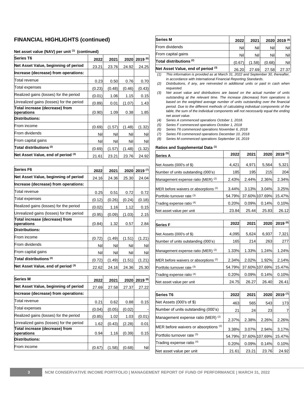#### **FINANCIAL HIGHLIGHTS (continued)**

#### **Net asset value (NAV) per unit (1) (continued)**

| <b>Series T6</b>                             | 2022   | 2021   | 2020   | 2019 (6) |
|----------------------------------------------|--------|--------|--------|----------|
| Net Asset Value, beginning of period         | 23.21  | 23.76  | 24.92  | 24.25    |
| Increase (decrease) from operations:         |        |        |        |          |
| Total revenue                                | 0.23   | 0.50   | 0.76   | 0.70     |
| Total expenses                               | (0.23) | (0.48) | (0.46) | (0.43)   |
| Realized gains (losses) for the period       | (0.01) | 1.06   | 1.15   | 0.15     |
| Unrealized gains (losses) for the period     | (0.89) | 0.01   | (1.07) | 1.43     |
| Total increase (decrease) from<br>operations | (0.90) | 1.09   | 0.38   | 1.85     |
| <b>Distributions:</b>                        |        |        |        |          |
| From income                                  | (0.69) | (1.57) | (1.48) | (1.32)   |
| From dividends                               | Nil    | Nil    | Nil    | Nil      |
| From capital gains                           | Nil    | Nil    | Nil    | Nil      |
| Total distributions (2)                      | (0.69) | (1.57) | (1.48) | (1.32)   |
| Net Asset Value, end of period (3)           | 21.61  | 23.21  | 23.76  | 24.92    |

| Series F6                                      | 2022   | 2021   | 2020   | 2019(7) |
|------------------------------------------------|--------|--------|--------|---------|
| Net Asset Value, beginning of period           | 24.16  | 24.36  | 25.30  | 24.04   |
| Increase (decrease) from operations:           |        |        |        |         |
| Total revenue                                  | 0.25   | 0.51   | 0.72   | 0.72    |
| Total expenses                                 | (0.12) | (0.26) | (0.24) | (0.18)  |
| Realized gains (losses) for the period         | (0.02) | 1.16   | 1.12   | 0.15    |
| Unrealized gains (losses) for the period       | (0.95) | (0.09) | (1.03) | 2.15    |
| Total increase (decrease) from<br>operations   | (0.84) | 1.32   | 0.57   | 2.84    |
| <b>Distributions:</b>                          |        |        |        |         |
| From income                                    | (0.72) | (1.49) | (1.51) | (1.21)  |
| From dividends                                 | Nil    | Nil    | Nil    | Nil     |
| From capital gains                             | Nill   | Nil    | Nil    | Nil     |
| Total distributions ${}^{\textrm{\tiny{(2)}}}$ | (0.72) | (1.49) | (1.51) | (1.21)  |
| Net Asset Value, end of period (3)             | 22.62  | 24.16  | 24.36  | 25.30   |

| <b>Series M</b>                                      | 2022   | 2021   | 2020   | $2019^{(8)}$ |
|------------------------------------------------------|--------|--------|--------|--------------|
| Net Asset Value, beginning of period                 | 27.69  | 27.58  | 27.37  | 27.22        |
| Increase (decrease) from operations:                 |        |        |        |              |
| Total revenue                                        | 0.21   | 0.62   | 0.88   | 0.15         |
| <b>Total expenses</b>                                | (0.04) | (0.05) | (0.02) |              |
| Realized gains (losses) for the period               | (0.85) | 1.02   | 1.03   | (0.01)       |
| Unrealized gains (losses) for the period             | 1.62   | (0.43) | (2.28) | 0.01         |
| Total increase (decrease) from<br><b>loperations</b> | 0.94   | 1.16   | (0.39) | 0.15         |
| <b>Distributions:</b>                                |        |        |        |              |
| From income                                          | (0.67) | (1.58) | (0.68) | Nil          |

| <b>Series M</b>                    | 2022   | 2021   |        | 2020 2019 (8) |
|------------------------------------|--------|--------|--------|---------------|
| <b>From dividends</b>              | Nil    | Nil    | Nil    | Nil           |
| From capital gains                 | Nill   | Nil    | Nil    | Nil           |
| Total distributions (2)            | (0.67) | (1.58) | (0.68) | Nil           |
| Net Asset Value, end of period (3) | 26.20  | 27.69  | 27.58  | 27.37         |

*(1) This information is provided as at March 31, 2022 and September 30, thereafter, in accordance with International Financial Reporting Standards.*

*(2) Distributions, if any, are reinvested in additional units or paid in cash when requested.*

*(3) Net asset value and distributions are based on the actual number of units outstanding at the relevant time. The increase (decrease) from operations is based on the weighted average number of units outstanding over the financial period. Due to the different methods of calculating individual components of the table, the sum of the individual components will not necessarily equal the ending net asset value.*

*(4) Series A commenced operations October 1, 2018.*

*(5) Series F commenced operations October 1, 2018*

*(6) Series T6 commenced operations November 6, 2018*

*(7) Series F6 commenced operations December 10, 2018*

*(8) Series M commenced operations September 16, 2019*

#### **Ratios and Supplemental Data (1)**

| <b>Series A</b>                       | 2022   | 2021  | 2020           | 2019 (5) |
|---------------------------------------|--------|-------|----------------|----------|
| Net Assets (000's of \$)              | 4,421  | 4,971 | 5,564          | 5,321    |
| Number of units outstanding (000's)   | 185    | 195   | 215            | 204      |
| Management expense ratio (MER) (2)    | 2.43%  | 2.44% | 2.36%          | 2.34%    |
| MER before waivers or absorptions (2) | 3.44%  | 3.13% | 3.04%          | 3.25%    |
| Portfolio turnover rate (3)           | 54.79% |       | 37.60% 107.69% | 15.47%   |
| Trading expense ratio <sup>(4)</sup>  | 0.20%  | 0.09% | 0.14%          | 0.10%    |
| Net asset value per unit              | 23.84  | 25.44 | 25.83          | 26.12    |

| <b>Series F</b>                       | 2022   | 2021  | 2020           | 2019 (6) |
|---------------------------------------|--------|-------|----------------|----------|
| Net Assets (000's of \$)              | 4,095  | 5,624 | 6,937          | 7,321    |
| Number of units outstanding (000's)   | 165    | 214   | 263            | 277      |
| Management expense ratio (MER) (2)    | 1.33%  | 1.33% | 1.24%          | 1.24%    |
| MER before waivers or absorptions (2) | 2.34%  | 2.02% | 1.92%          | 2.14%    |
| Portfolio turnover rate (3)           | 54.79% |       | 37.60% 107.69% | 15.47%   |
| Trading expense ratio <sup>(4)</sup>  | 0.20%  | 0.09% | 0.14%          | 0.10%    |
| Net asset value per unit              | 24.75  | 26.27 | 26.40          | 26.41    |

| <b>Series T6</b>                              | 2022   | 2021  | 2020           | 2019(7) |
|-----------------------------------------------|--------|-------|----------------|---------|
| Net Assets (000's of \$)                      | 463    | 565   | 543            | 173     |
| Number of units outstanding (000's)           | 21     | 24    | 23             |         |
| Management expense ratio (MER) <sup>(2)</sup> | 2.37%  | 2.38% | 2.26%          | 2.26%   |
| MER before waivers or absorptions (2)         | 3.38%  | 3.07% | 2.94%          | 3.17%   |
| Portfolio turnover rate (3)                   | 54.79% |       | 37.60% 107.69% | 15.47%  |
| Trading expense ratio <sup>(4)</sup>          | 0.20%  | 0.09% | 0.14%          | 0.10%   |
| Net asset value per unit                      | 21.61  | 23.21 | 23.76          | 24.92   |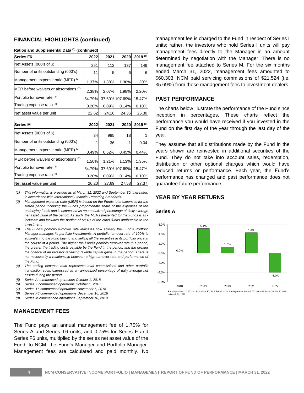#### **FINANCIAL HIGHLIGHTS (continued)**

| <b>Series F6</b>                      | 2022   | 2021  | 2020           | 2019 (8) |
|---------------------------------------|--------|-------|----------------|----------|
| Net Assets (000's of \$)              | 251    | 112   | 137            | 149      |
| Number of units outstanding (000's)   | 11     | 5     |                | 6        |
| Management expense ratio (MER) (2)    | 1.37%  | 1.38% | 1.30%          | 1.30%    |
| MER before waivers or absorptions (2) | 2.38%  | 2.07% | 1.98%          | 2.20%    |
| Portfolio turnover rate (3)           | 54.79% |       | 37.60% 107.69% | 15.47%   |
| Trading expense ratio <sup>(4)</sup>  | 0.20%  | 0.09% | 0.14%          | 0.10%    |
| Net asset value per unit              | 22.62  | 24.16 | 24.36          | 25.30    |

#### **Ratios and Supplemental Data (1) (continued)**

| Series M                                         | 2022   | 2021  | 2020           | 2019 (9) |
|--------------------------------------------------|--------|-------|----------------|----------|
| Net Assets (000's of \$)                         | 34     | 985   | 18             | 1        |
| Number of units outstanding (000's)              |        | 36    |                | 0.04     |
| Management expense ratio (MER) <sup>(2)</sup>    | 0.49%  | 0.52% | 0.45%          | 0.44%    |
| MER before waivers or absorptions <sup>(2)</sup> | 1.50%  | 1.21% | 1.13%          | 1.35%    |
| Portfolio turnover rate (3)                      | 54.79% |       | 37.60% 107.69% | 15.47%   |
| Trading expense ratio <sup>(4)</sup>             | 0.20%  | 0.09% | 0.14%          | 0.10%    |
| Net asset value per unit                         | 26.20  | 27.69 | 27.58          | 27.37    |

*(1) This information is provided as at March 31, 2022 and September 30, thereafter, in accordance with International Financial Reporting Standards.*

*(2) Management expense ratio (MER) is based on the Funds total expenses for the stated period including the Funds proportionate share of the expenses of the underlying funds and is expressed as an annualized percentage of daily average net asset value of the period. As such, the MERs presented for the Funds is all inclusive and includes the portion of MERs of the other funds attributable to the investment.*

- *(3) The Fund's portfolio turnover rate indicates how actively the Fund's Portfolio Manager manages its portfolio investments. A portfolio turnover rate of 100% is equivalent to the Fund buying and selling all the securities in its portfolio once in the course of a period. The higher the Fund's portfolio turnover rate in a period, the greater the trading costs payable by the Fund in the period, and the greater the chance of an investor receiving taxable capital gains in the period. There is not necessarily a relationship between a high turnover rate and performance of the Fund.*
- *(4) The trading expense ratio represents total commissions and other portfolio transaction costs expressed as an annualized percentage of daily average net assets during the period.*
- *(5) Series A commenced operations October 1, 2018.*
- *(6) Series F commenced operations October 1, 2018*
- *(7) Series T6 commenced operations November 6, 2018*
- *(8) Series F6 commenced operations December 10, 2018*
- *(9) Series M commenced operations September 16, 2019*

#### **MANAGEMENT FEES**

The Fund pays an annual management fee of 1.75% for Series A and Series T6 units, and 0.75% for Series F and Series F6 units, multiplied by the series net asset value of the Fund, to NCM, the Fund's Manager and Portfolio Manager. Management fees are calculated and paid monthly. No management fee is charged to the Fund in respect of Series I units; rather, the investors who hold Series I units will pay management fees directly to the Manager in an amount determined by negotiation with the Manager. There is no management fee attached to Series M. For the six months ended March 31, 2022, management fees amounted to \$60,303. NCM paid servicing commissions of \$21,524 (i.e. 35.69%) from these management fees to investment dealers.

#### **PAST PERFORMANCE**

The charts below illustrate the performance of the Fund since inception in percentages. These charts reflect the performance you would have received if you invested in the Fund on the first day of the year through the last day of the year.

They assume that all distributions made by the Fund in the years shown are reinvested in additional securities of the Fund. They do not take into account sales, redemption, distribution or other optional charges which would have reduced returns or performance. Each year, the Fund's performance has changed and past performance does not guarantee future performance.

#### **YEAR BY YEAR RETURNS**



#### **Series A**

From September 28, 2018 to September 30, 2018 then October 1 to September 30 until 2022 which is from October 1, 2021 to March 31, 2022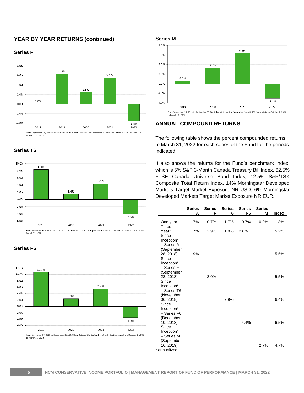#### **YEAR BY YEAR RETURNS (continued)**

#### **Series F**



**Series T6**



From November 6, 2018 to September 30, 2019 then October 1 to September 30 until 2022 which is from October 1, 2021 to<br>March 31, 2022.

#### **Series F6**





#### **ANNUAL COMPOUND RETURNS**

The following table shows the percent compounded returns to March 31, 2022 for each series of the Fund for the periods indicated.

It also shows the returns for the Fund's benchmark index, which is 5% S&P 3-Month Canada Treasury Bill Index, 62.5% FTSE Canada Universe Bond Index, 12.5% S&P/TSX Composite Total Return Index, 14% Morningstar Developed Markets Target Market Exposure NR USD, 6% Morningstar Developed Markets Target Market Exposure NR EUR.

|                                                              | <b>Series</b><br>A | <b>Series</b><br>F | <b>Series</b><br>T <sub>6</sub> | <b>Series</b><br>F <sub>6</sub> | <b>Series</b><br>М | <b>Index</b> |
|--------------------------------------------------------------|--------------------|--------------------|---------------------------------|---------------------------------|--------------------|--------------|
| One year<br>Three                                            | $-1.7%$            | $-0.7%$            | $-1.7%$                         | $-0.7%$                         | 0.2%               | 1.8%         |
| Year*<br>Since<br>Inception*<br>- Series A<br>(September     | 1.7%               | 2.9%               | 1.8%                            | 2.8%                            |                    | 5.2%         |
| 28, 2018)<br>Since<br>Inception*<br>- Series F<br>(September | 1.9%               |                    |                                 |                                 |                    | 5.5%         |
| 28, 2018)<br>Since<br>Inception*<br>- Series T6<br>(November |                    | 3.0%               |                                 |                                 |                    | 5.5%         |
| 06, 2018)<br>Since<br>Inception*<br>- Series F6<br>(December |                    |                    | 2.9%                            |                                 |                    | 6.4%         |
| 10, 2018)<br>Since<br>Inception*<br>- Series M<br>(September |                    |                    |                                 | 4.4%                            |                    | 6.5%         |
| 16, 2019)<br>* annualized                                    |                    |                    |                                 |                                 | 2.7%               | 4.7%         |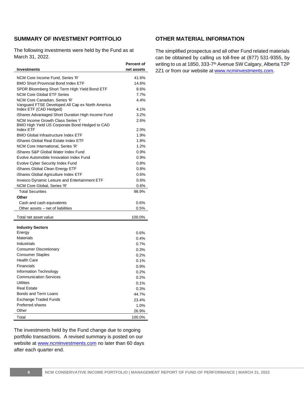### **SUMMARY OF INVESTMENT PORTFOLIO**

The following investments were held by the Fund as at March 31, 2022.

| <b>Investments</b>                                                                       | <b>Percent of</b><br>net assets |
|------------------------------------------------------------------------------------------|---------------------------------|
| NCM Core Income Fund. Series 'R'                                                         | 41.6%                           |
| <b>BMO Short Provincial Bond Index ETF</b>                                               | 14.6%                           |
| SPDR Bloomberg Short Term High Yield Bond ETF                                            | 8.6%                            |
| <b>NCM Core Global ETF Series</b>                                                        | 7.7%                            |
| NCM Core Canadian, Series 'R'<br>Vanguard FTSE Developed All Cap ex North America        | 4.4%                            |
| Index ETF (CAD Hedged)                                                                   | 4.1%                            |
| iShares Advantaged Short Duration High Income Fund<br>NCM Income Growth Class Series 'I' | 3.2%<br>2.6%                    |
| BMO High Yield US Corporate Bond Hedged to CAD<br><b>Index ETF</b>                       | 2.0%                            |
| <b>BMO Global Infrastructure Index ETF</b>                                               | 1.9%                            |
| iShares Global Real Estate Index ETF                                                     | 1.8%                            |
| NCM Core International, Series 'R'                                                       | 1.2%                            |
| iShares S&P Global Water Index Fund                                                      | 0.9%                            |
| Evolve Automobile Innovation Index Fund                                                  | 0.9%                            |
| Evolve Cyber Security Index Fund                                                         | 0.8%                            |
| iShares Global Clean Energy ETF                                                          | 0.8%                            |
| iShares Global Agriculture Index ETF                                                     | 0.6%                            |
| <b>Invesco Dynamic Leisure and Entertainment ETF</b>                                     | 0.6%                            |
| NCM Core Global, Series 'R'                                                              | 0.6%                            |
| <b>Total Securities</b>                                                                  | 98.9%                           |
| Other                                                                                    |                                 |
| Cash and cash equivalents                                                                | 0.6%                            |
| Other assets – net of liabilities                                                        | $0.5\%$                         |
| Total net asset value                                                                    | 100.0%                          |
| <b>Industry Sectors</b>                                                                  |                                 |
| Energy                                                                                   | 0.6%                            |
| <b>Materials</b>                                                                         | 0.4%                            |
| Industrials                                                                              | 0.7%                            |
| <b>Consumer Discretionary</b>                                                            | 0.3%                            |
| <b>Consumer Staples</b>                                                                  | 0.2%                            |
| <b>Health Care</b>                                                                       | 0.1%                            |
| Financials                                                                               | 0.9%                            |
| <b>Information Technology</b>                                                            | 0.2%                            |
| <b>Communication Services</b>                                                            | 0.2%                            |
| <b>Utilities</b>                                                                         | 0.1%                            |
| <b>Real Estate</b>                                                                       | 0.3%                            |
| <b>Bonds and Term Loans</b>                                                              | 44.7%                           |
| <b>Exchange Traded Funds</b>                                                             | 23.4%                           |
| <b>Preferred shares</b>                                                                  | 1.0%                            |
| Other                                                                                    | 26.9%                           |
| Total                                                                                    | 100.0%                          |

The investments held by the Fund change due to ongoing portfolio transactions. A revised summary is posted on our website at www.ncminvestments.com no later than 60 days after each quarter end.

#### **OTHER MATERIAL INFORMATION**

The simplified prospectus and all other Fund related materials can be obtained by calling us toll-free at (877) 531-9355, by writing to us at 1850, 333-7<sup>th</sup> Avenue SW Calgary, Alberta T2P 2Z1 or from our website at [www.ncminvestments.com.](http://www.ncminvestments.com/)